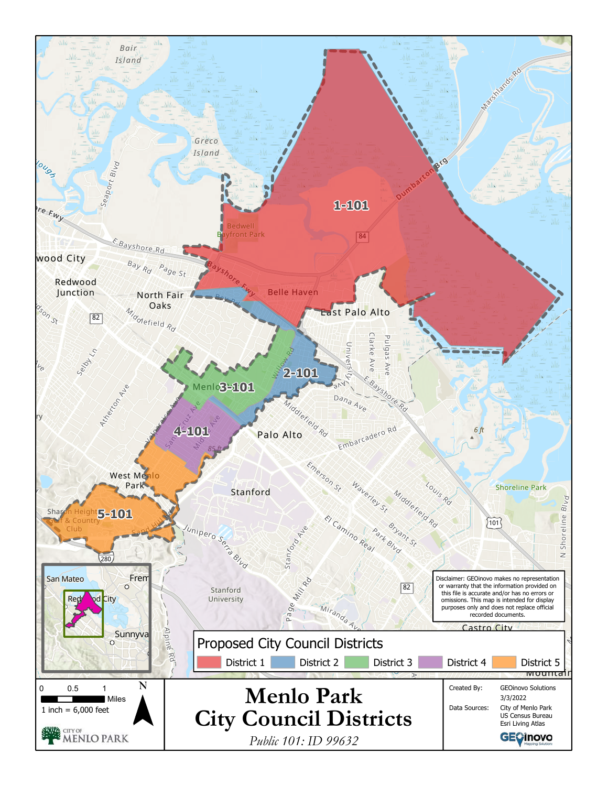